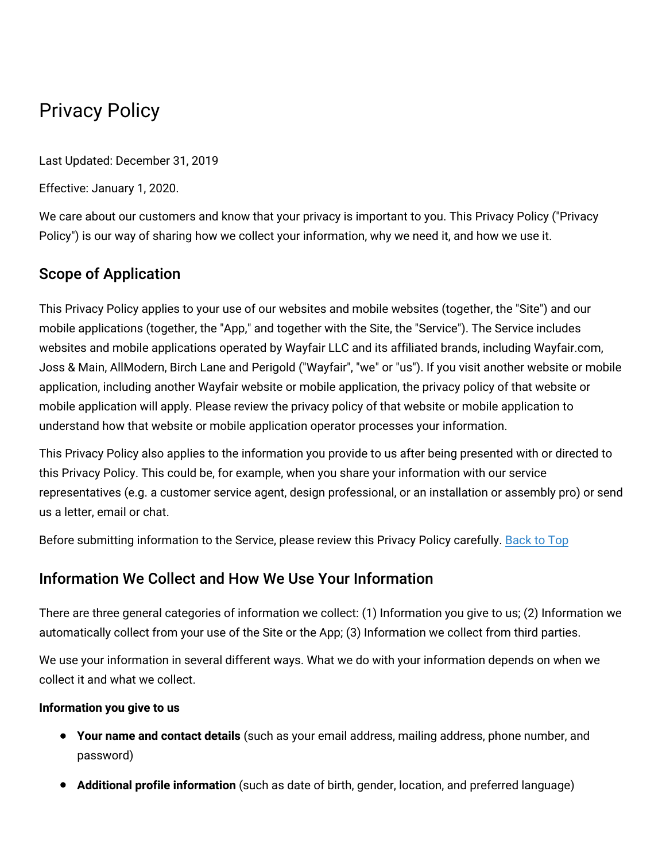# Privacy Policy

Last Updated: December 31, 2019

Effective: January 1, 2020.

We care about our customers and know that your privacy is important to you. This Privacy Policy ("Privacy Policy") is our way of sharing how we collect your information, why we need it, and how we use it.

# Scope of Application

This Privacy Policy applies to your use of our websites and mobile websites (together, the "Site") and our mobile applications (together, the "App," and together with the Site, the "Service"). The Service includes websites and mobile applications operated by Wayfair LLC and its affiliated brands, including Wayfair.com, Joss & Main, AllModern, Birch Lane and Perigold ("Wayfair", "we" or "us"). If you visit another website or mobile application, including another Wayfair website or mobile application, the privacy policy of that website or mobile application will apply. Please review the privacy policy of that website or mobile application to understand how that website or mobile application operator processes your information.

This Privacy Policy also applies to the information you provide to us after being presented with or directed to this Privacy Policy. This could be, for example, when you share your information with our service representatives (e.g. a customer service agent, design professional, or an installation or assembly pro) or send us a letter, email or chat.

Before submitting information to the Service, please review this Privacy Policy carefully. [Back](#wfus-privacy-top) to Top

# Information We Collect and How We Use Your Information

There are three general categories of information we collect: (1) Information you give to us; (2) Information we automatically collect from your use of the Site or the App; (3) Information we collect from third parties.

We use your information in several different ways. What we do with your information depends on when we collect it and what we collect.

#### **Information you give to us**

- **Your name and contact details** (such as your email address, mailing address, phone number, and password)
- **Additional profile information** (such as date of birth, gender, location, and preferred language)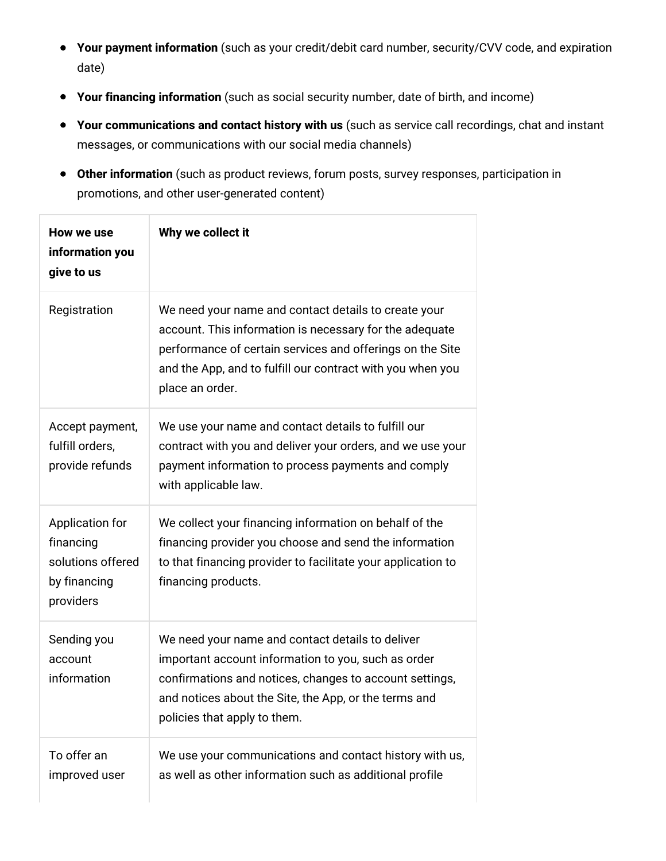- **Your payment information** (such as your credit/debit card number, security/CVV code, and expiration date)
- **Your financing information** (such as social security number, date of birth, and income)
- **Your communications and contact history with us** (such as service call recordings, chat and instant messages, or communications with our social media channels)
- **Other information** (such as product reviews, forum posts, survey responses, participation in promotions, and other user-generated content)

| How we use<br>information you<br>give to us                                    | Why we collect it                                                                                                                                                                                                                                             |
|--------------------------------------------------------------------------------|---------------------------------------------------------------------------------------------------------------------------------------------------------------------------------------------------------------------------------------------------------------|
| Registration                                                                   | We need your name and contact details to create your<br>account. This information is necessary for the adequate<br>performance of certain services and offerings on the Site<br>and the App, and to fulfill our contract with you when you<br>place an order. |
| Accept payment,<br>fulfill orders,<br>provide refunds                          | We use your name and contact details to fulfill our<br>contract with you and deliver your orders, and we use your<br>payment information to process payments and comply<br>with applicable law.                                                               |
| Application for<br>financing<br>solutions offered<br>by financing<br>providers | We collect your financing information on behalf of the<br>financing provider you choose and send the information<br>to that financing provider to facilitate your application to<br>financing products.                                                       |
| Sending you<br>account<br>information                                          | We need your name and contact details to deliver<br>important account information to you, such as order<br>confirmations and notices, changes to account settings,<br>and notices about the Site, the App, or the terms and<br>policies that apply to them.   |
| To offer an<br>improved user                                                   | We use your communications and contact history with us,<br>as well as other information such as additional profile                                                                                                                                            |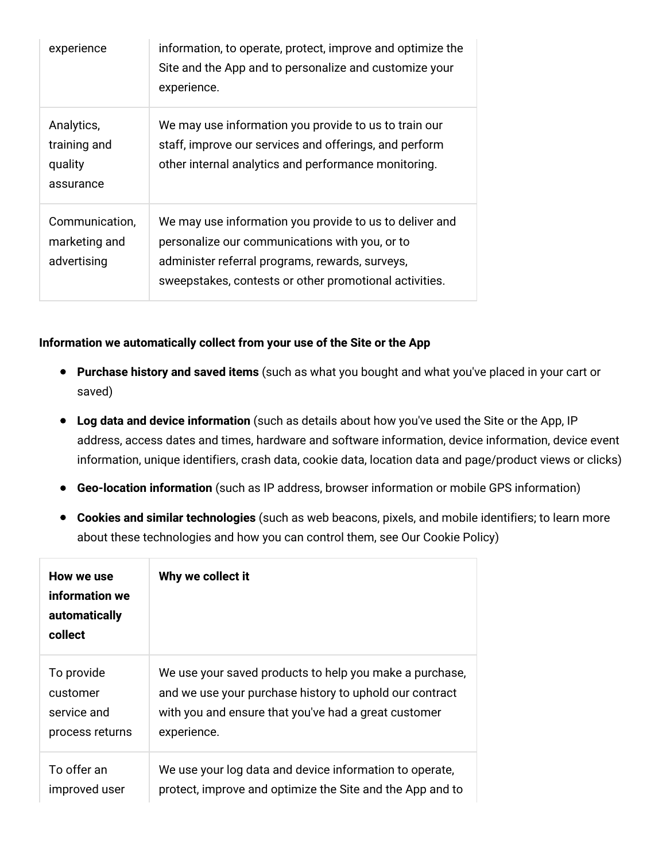| experience                                         | information, to operate, protect, improve and optimize the<br>Site and the App and to personalize and customize your<br>experience.                                                                                    |
|----------------------------------------------------|------------------------------------------------------------------------------------------------------------------------------------------------------------------------------------------------------------------------|
| Analytics,<br>training and<br>quality<br>assurance | We may use information you provide to us to train our<br>staff, improve our services and offerings, and perform<br>other internal analytics and performance monitoring.                                                |
| Communication,<br>marketing and<br>advertising     | We may use information you provide to us to deliver and<br>personalize our communications with you, or to<br>administer referral programs, rewards, surveys,<br>sweepstakes, contests or other promotional activities. |

#### **Information we automatically collect from your use of the Site or the App**

- **Purchase history and saved items** (such as what you bought and what you've placed in your cart or saved)
- **Log data and device information** (such as details about how you've used the Site or the App, IP address, access dates and times, hardware and software information, device information, device event information, unique identifiers, crash data, cookie data, location data and page/product views or clicks)
- **Geo-location information** (such as IP address, browser information or mobile GPS information)
- **Cookies and similar technologies** (such as web beacons, pixels, and mobile identifiers; to learn more about these technologies and how you can control them, see Our Cookie Policy)

| How we use<br>information we<br>automatically<br>collect | Why we collect it                                         |
|----------------------------------------------------------|-----------------------------------------------------------|
| To provide                                               | We use your saved products to help you make a purchase,   |
| customer                                                 | and we use your purchase history to uphold our contract   |
| service and                                              | with you and ensure that you've had a great customer      |
| process returns                                          | experience.                                               |
| To offer an                                              | We use your log data and device information to operate,   |
| improved user                                            | protect, improve and optimize the Site and the App and to |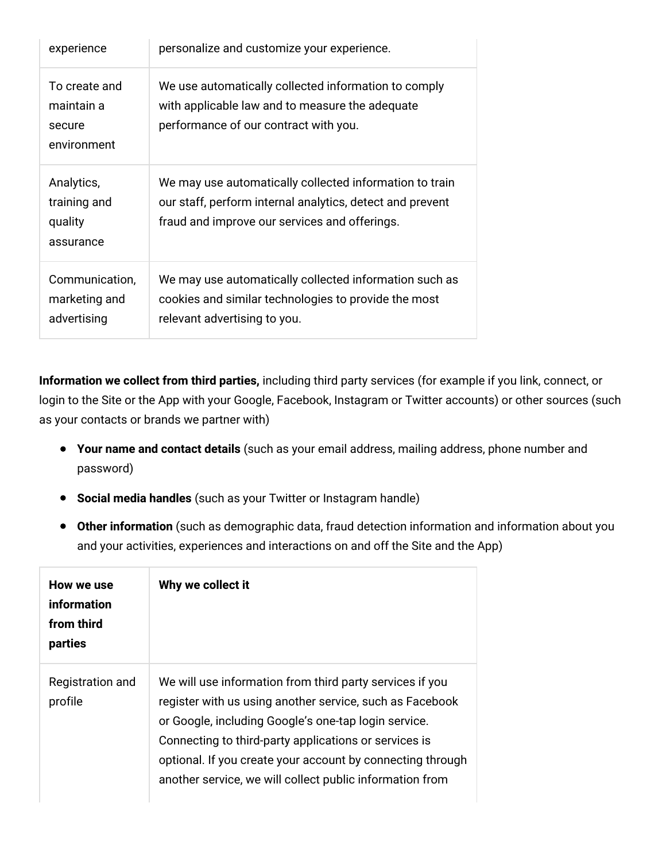| experience                                           | personalize and customize your experience.                                                                                                                            |
|------------------------------------------------------|-----------------------------------------------------------------------------------------------------------------------------------------------------------------------|
| To create and<br>maintain a<br>secure<br>environment | We use automatically collected information to comply<br>with applicable law and to measure the adequate<br>performance of our contract with you.                      |
| Analytics,<br>training and<br>quality<br>assurance   | We may use automatically collected information to train<br>our staff, perform internal analytics, detect and prevent<br>fraud and improve our services and offerings. |
| Communication,<br>marketing and<br>advertising       | We may use automatically collected information such as<br>cookies and similar technologies to provide the most<br>relevant advertising to you.                        |

**Information we collect from third parties,** including third party services (for example if you link, connect, or login to the Site or the App with your Google, Facebook, Instagram or Twitter accounts) or other sources (such as your contacts or brands we partner with)

- **Your name and contact details** (such as your email address, mailing address, phone number and password)
- **Social media handles** (such as your Twitter or Instagram handle)
- **Other information** (such as demographic data, fraud detection information and information about you and your activities, experiences and interactions on and off the Site and the App)

| How we use<br>information<br>from third<br>parties | Why we collect it                                                                                                                                                                                                                                                                                                                                               |
|----------------------------------------------------|-----------------------------------------------------------------------------------------------------------------------------------------------------------------------------------------------------------------------------------------------------------------------------------------------------------------------------------------------------------------|
| Registration and<br>profile                        | We will use information from third party services if you<br>register with us using another service, such as Facebook<br>or Google, including Google's one-tap login service.<br>Connecting to third-party applications or services is<br>optional. If you create your account by connecting through<br>another service, we will collect public information from |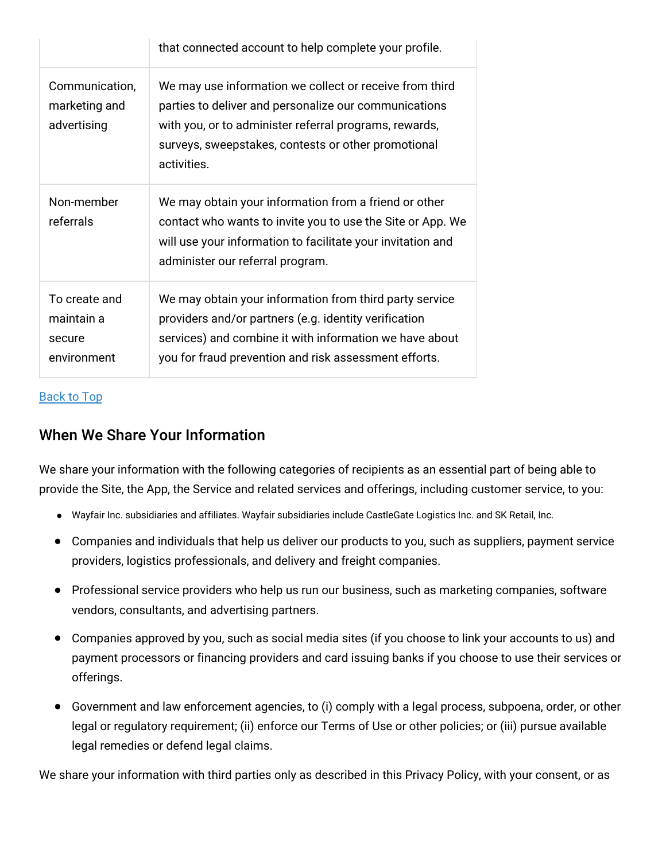|                                                      | that connected account to help complete your profile.                                                                                                                                                                                            |
|------------------------------------------------------|--------------------------------------------------------------------------------------------------------------------------------------------------------------------------------------------------------------------------------------------------|
| Communication,<br>marketing and<br>advertising       | We may use information we collect or receive from third<br>parties to deliver and personalize our communications<br>with you, or to administer referral programs, rewards,<br>surveys, sweepstakes, contests or other promotional<br>activities. |
| Non-member<br>referrals                              | We may obtain your information from a friend or other<br>contact who wants to invite you to use the Site or App. We<br>will use your information to facilitate your invitation and<br>administer our referral program.                           |
| To create and<br>maintain a<br>secure<br>environment | We may obtain your information from third party service<br>providers and/or partners (e.g. identity verification<br>services) and combine it with information we have about<br>you for fraud prevention and risk assessment efforts.             |

#### [Back](#wfus-privacy-top) to Top

## When We Share Your Information

We share your information with the following categories of recipients as an essential part of being able to provide the Site, the App, the Service and related services and offerings, including customer service, to you:

- Wayfair Inc. subsidiaries and affiliates. Wayfair subsidiaries include CastleGate Logistics Inc. and SK Retail, Inc.
- Companies and individuals that help us deliver our products to you, such as suppliers, payment service providers, logistics professionals, and delivery and freight companies.
- Professional service providers who help us run our business, such as marketing companies, software vendors, consultants, and advertising partners.
- Companies approved by you, such as social media sites (if you choose to link your accounts to us) and payment processors or financing providers and card issuing banks if you choose to use their services or offerings.
- Government and law enforcement agencies, to (i) comply with a legal process, subpoena, order, or other legal or regulatory requirement; (ii) enforce our Terms of Use or other policies; or (iii) pursue available legal remedies or defend legal claims.

We share your information with third parties only as described in this Privacy Policy, with your consent, or as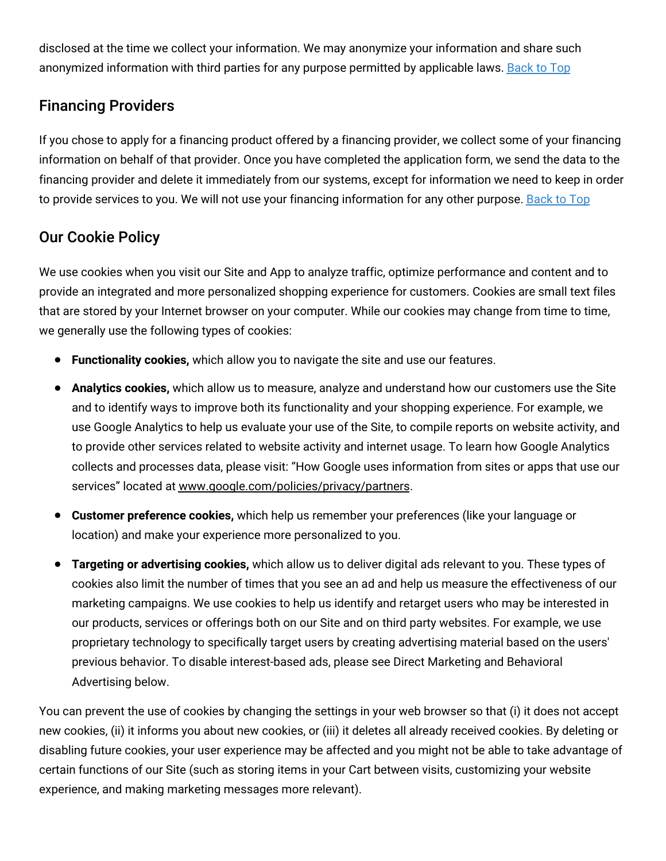disclosed at the time we collect your information. We may anonymize your information and share such anonymized information with third parties for any purpose permitted by applicable laws. [Back](#wfus-privacy-top) to Top

# Financing Providers

If you chose to apply for a financing product offered by a financing provider, we collect some of your financing information on behalf of that provider. Once you have completed the application form, we send the data to the financing provider and delete it immediately from our systems, except for information we need to keep in order to provide services to you. We will not use your financing information for any other purpose. [Back](#wfus-privacy-top) to Top

# Our Cookie Policy

We use cookies when you visit our Site and App to analyze traffic, optimize performance and content and to provide an integrated and more personalized shopping experience for customers. Cookies are small text files that are stored by your Internet browser on your computer. While our cookies may change from time to time, we generally use the following types of cookies:

- **Functionality cookies,** which allow you to navigate the site and use our features.
- **Analytics cookies,** which allow us to measure, analyze and understand how our customers use the Site and to identify ways to improve both its functionality and your shopping experience. For example, we use Google Analytics to help us evaluate your use of the Site, to compile reports on website activity, and to provide other services related to website activity and internet usage. To learn how Google Analytics collects and processes data, please visit: "How Google uses information from sites or apps that use our services" located at [www.google.com/policies/privacy/partners](http://www.google.com/policies/privacy/partners).
- **Customer preference cookies,** which help us remember your preferences (like your language or location) and make your experience more personalized to you.
- **Targeting or advertising cookies,** which allow us to deliver digital ads relevant to you. These types of cookies also limit the number of times that you see an ad and help us measure the effectiveness of our marketing campaigns. We use cookies to help us identify and retarget users who may be interested in our products, services or offerings both on our Site and on third party websites. For example, we use proprietary technology to specifically target users by creating advertising material based on the users' previous behavior. To disable interest-based ads, please see Direct Marketing and Behavioral Advertising below.

You can prevent the use of cookies by changing the settings in your web browser so that (i) it does not accept new cookies, (ii) it informs you about new cookies, or (iii) it deletes all already received cookies. By deleting or disabling future cookies, your user experience may be affected and you might not be able to take advantage of certain functions of our Site (such as storing items in your Cart between visits, customizing your website experience, and making marketing messages more relevant).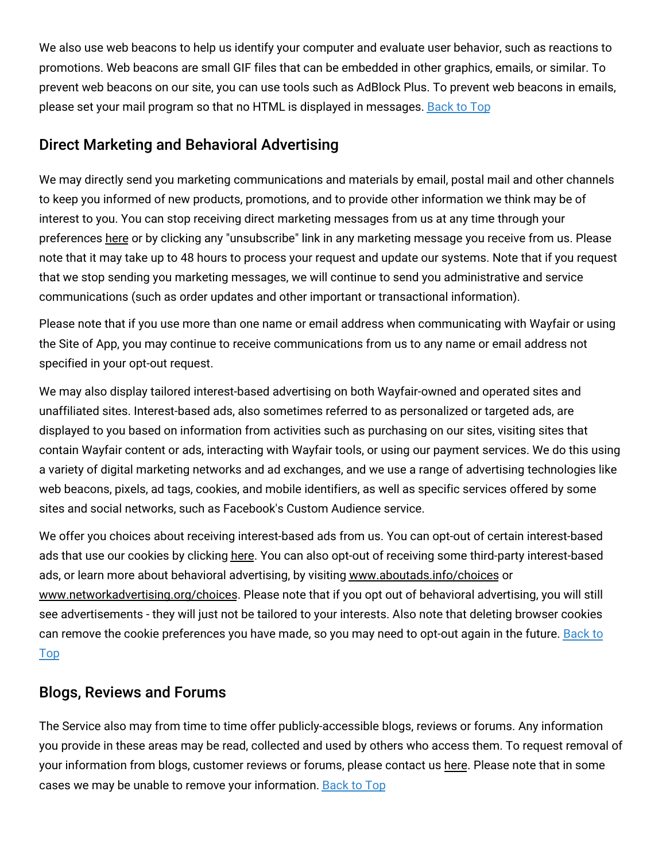We also use web beacons to help us identify your computer and evaluate user behavior, such as reactions to promotions. Web beacons are small GIF files that can be embedded in other graphics, emails, or similar. To prevent web beacons on our site, you can use tools such as AdBlock Plus. To prevent web beacons in emails, please set your mail program so that no HTML is displayed in messages. [Back](#wfus-privacy-top) to Top

## Direct Marketing and Behavioral Advertising

We may directly send you marketing communications and materials by email, postal mail and other channels to keep you informed of new products, promotions, and to provide other information we think may be of interest to you. You can stop receiving direct marketing messages from us at any time through your preferences [here](https://www.wayfair.com/v/account/email_subscriptions/manage) or by clicking any "unsubscribe" link in any marketing message you receive from us. Please note that it may take up to 48 hours to process your request and update our systems. Note that if you request that we stop sending you marketing messages, we will continue to send you administrative and service communications (such as order updates and other important or transactional information).

Please note that if you use more than one name or email address when communicating with Wayfair or using the Site of App, you may continue to receive communications from us to any name or email address not specified in your opt-out request.

We may also display tailored interest-based advertising on both Wayfair-owned and operated sites and unaffiliated sites. Interest-based ads, also sometimes referred to as personalized or targeted ads, are displayed to you based on information from activities such as purchasing on our sites, visiting sites that contain Wayfair content or ads, interacting with Wayfair tools, or using our payment services. We do this using a variety of digital marketing networks and ad exchanges, and we use a range of advertising technologies like web beacons, pixels, ad tags, cookies, and mobile identifiers, as well as specific services offered by some sites and social networks, such as Facebook's Custom Audience service.

We offer you choices about receiving interest-based ads from us. You can opt-out of certain interest-based ads that use our cookies by clicking [here.](https://terms.wayfair.io/en-US#wfus-interestbasedads) You can also opt-out of receiving some third-party interest-based ads, or learn more about behavioral advertising, by visiting [www.aboutads.info/choices](http://www.aboutads.info/choices) or [www.networkadvertising.org/choices.](http://www.networkadvertising.org/choices) Please note that if you opt out of behavioral advertising, you will still see advertisements - they will just not be tailored to your interests. Also note that deleting browser cookies can remove the cookie [preferences](#wfus-privacy-top) you have made, so you may need to opt-out again in the future. Back to Top

## Blogs, Reviews and Forums

The Service also may from time to time offer publicly-accessible blogs, reviews or forums. Any information you provide in these areas may be read, collected and used by others who access them. To request removal of your information from blogs, customer reviews or forums, please contact us [here.](https://www.wayfair.com/privacy_rights_request) Please note that in some cases we may be unable to remove your information. [Back](#wfus-privacy-top) to Top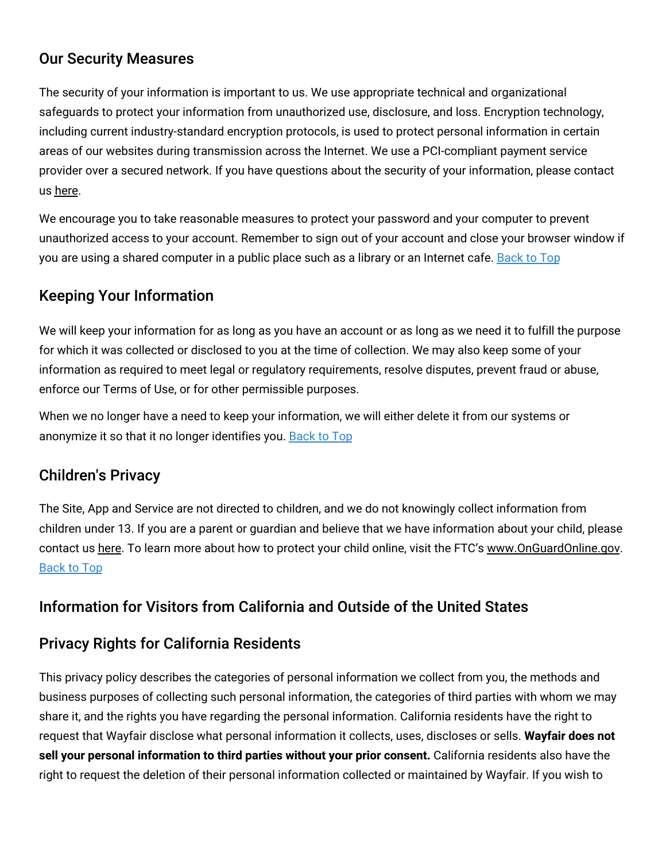# Our Security Measures

The security of your information is important to us. We use appropriate technical and organizational safeguards to protect your information from unauthorized use, disclosure, and loss. Encryption technology, including current industry-standard encryption protocols, is used to protect personal information in certain areas of our websites during transmission across the Internet. We use a PCI-compliant payment service provider over a secured network. If you have questions about the security of your information, please contact us [here.](https://www.wayfair.com/contact_us)

We encourage you to take reasonable measures to protect your password and your computer to prevent unauthorized access to your account. Remember to sign out of your account and close your browser window if you are using a shared computer in a public place such as a library or an Internet cafe. [Back](#wfus-privacy-top) to Top

# Keeping Your Information

We will keep your information for as long as you have an account or as long as we need it to fulfill the purpose for which it was collected or disclosed to you at the time of collection. We may also keep some of your information as required to meet legal or regulatory requirements, resolve disputes, prevent fraud or abuse, enforce our Terms of Use, or for other permissible purposes.

When we no longer have a need to keep your information, we will either delete it from our systems or anonymize it so that it no longer identifies you. [Back](#wfus-privacy-top) to Top

# Children's Privacy

The Site, App and Service are not directed to children, and we do not knowingly collect information from children under 13. If you are a parent or guardian and believe that we have information about your child, please contact us [here.](https://www.wayfair.com/privacy_rights_request) To learn more about how to protect your child online, visit the FTC's [www.OnGuardOnline.gov.](http://www.onguardonline.gov/) [Back](#wfus-privacy-top) to Top

# Information for Visitors from California and Outside of the United States

## Privacy Rights for California Residents

This privacy policy describes the categories of personal information we collect from you, the methods and business purposes of collecting such personal information, the categories of third parties with whom we may share it, and the rights you have regarding the personal information. California residents have the right to request that Wayfair disclose what personal information it collects, uses, discloses or sells. **Wayfair does not sell your personal information to third parties without your prior consent.** California residents also have the right to request the deletion of their personal information collected or maintained by Wayfair. If you wish to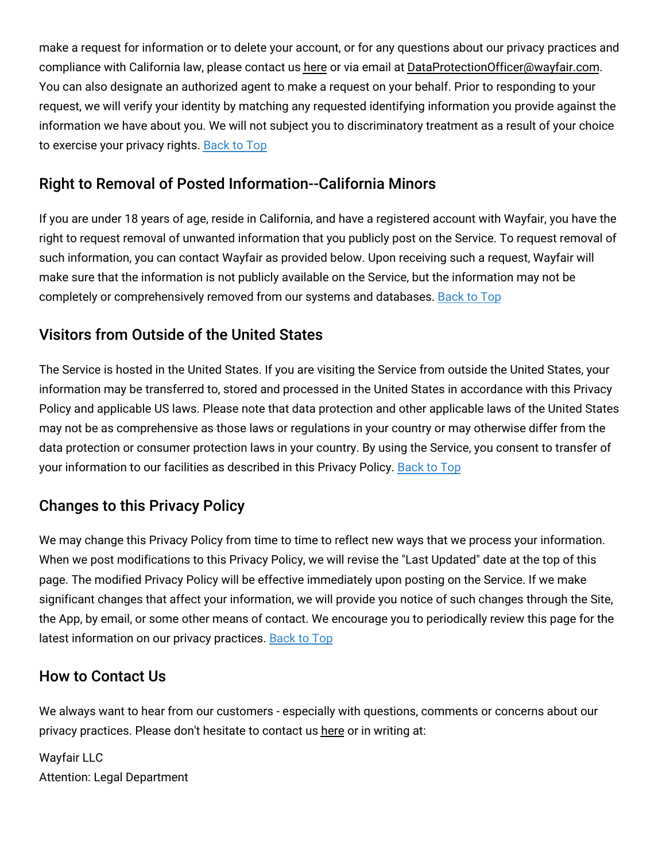make a request for information or to delete your account, or for any questions about our privacy practices and compliance with California law, please contact us [here](https://www.wayfair.com/privacy_rights_request) or via email at [DataProtectionOfficer@wayfair.com.](mailto:DataProtectionOfficer@wayfair.com) You can also designate an authorized agent to make a request on your behalf. Prior to responding to your request, we will verify your identity by matching any requested identifying information you provide against the information we have about you. We will not subject you to discriminatory treatment as a result of your choice to exercise your privacy rights. [Back](#wfus-privacy-top) to Top

# Right to Removal of Posted Information--California Minors

If you are under 18 years of age, reside in California, and have a registered account with Wayfair, you have the right to request removal of unwanted information that you publicly post on the Service. To request removal of such information, you can contact Wayfair as provided below. Upon receiving such a request, Wayfair will make sure that the information is not publicly available on the Service, but the information may not be completely or comprehensively removed from our systems and databases. [Back](#wfus-privacy-top) to Top

# Visitors from Outside of the United States

The Service is hosted in the United States. If you are visiting the Service from outside the United States, your information may be transferred to, stored and processed in the United States in accordance with this Privacy Policy and applicable US laws. Please note that data protection and other applicable laws of the United States may not be as comprehensive as those laws or regulations in your country or may otherwise differ from the data protection or consumer protection laws in your country. By using the Service, you consent to transfer of your information to our facilities as described in this Privacy Policy. [Back](#wfus-privacy-top) to Top

# Changes to this Privacy Policy

We may change this Privacy Policy from time to time to reflect new ways that we process your information. When we post modifications to this Privacy Policy, we will revise the "Last Updated" date at the top of this page. The modified Privacy Policy will be effective immediately upon posting on the Service. If we make significant changes that affect your information, we will provide you notice of such changes through the Site, the App, by email, or some other means of contact. We encourage you to periodically review this page for the latest information on our privacy practices. **[Back](#wfus-privacy-top) to Top** 

## How to Contact Us

We always want to hear from our customers - especially with questions, comments or concerns about our privacy practices. Please don't hesitate to contact us [here](https://www.wayfair.com/contact_us) or in writing at:

Wayfair LLC Attention: Legal Department